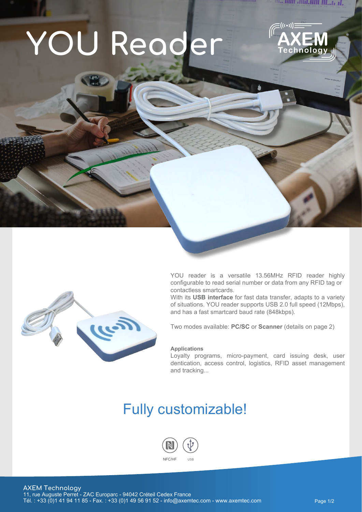# **YOU Reader**



11. 11111 . 11111 . 11111 . 111. . 12 . 11.



YOU reader is a versatile 13.56MHz RFID reader highly configurable to read serial number or data from any RFID tag or contactless smartcards.

With its **USB interface** for fast data transfer, adapts to a variety of situations. YOU reader supports USB 2.0 full speed (12Mbps), and has a fast smartcard baud rate (848kbps).

Two modes available: **PC/SC** or **Scanner** (details on page 2)

#### **Applications**

Loyalty programs, micro-payment, card issuing desk, user dentication, access control, logistics, RFID asset management and tracking...

### Fully customizable!



Chainway P80 with abundant functions is an Android 7.1 rugged tablet. With its powerful Qualcomm CPU, 8 inch high-